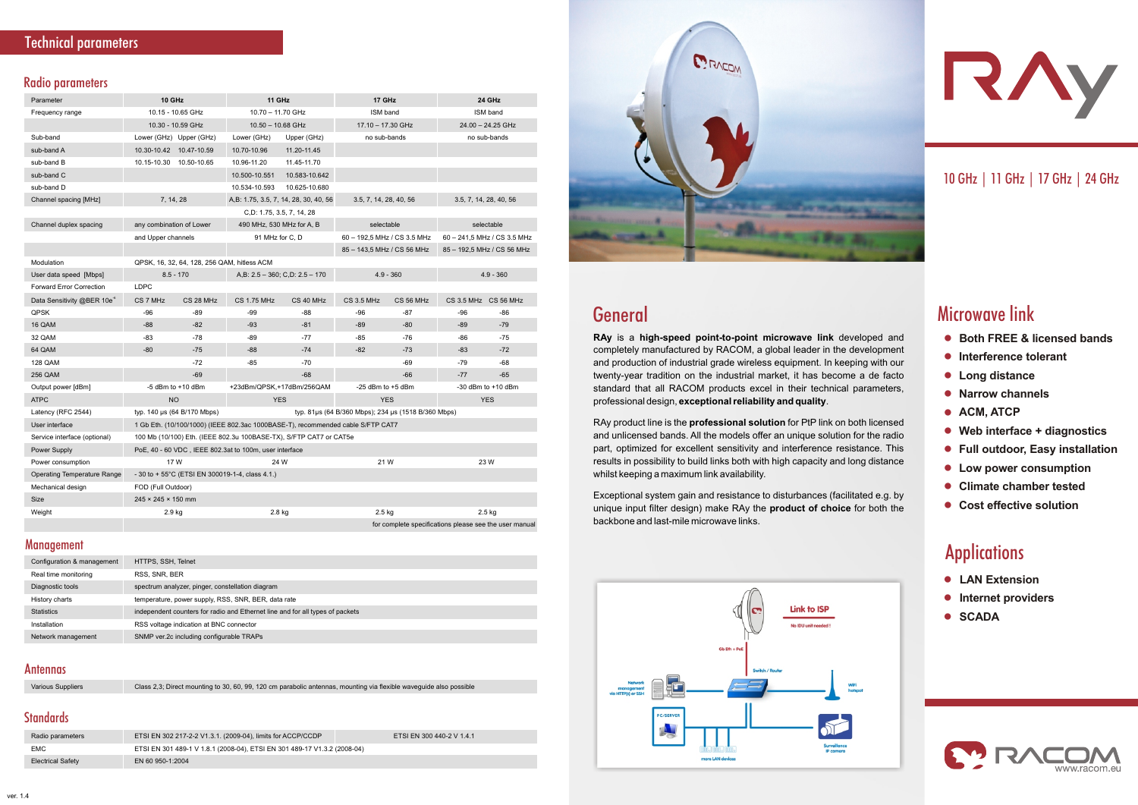#### **Radio parameters**

# General

- **Both FREE & licensed bands**
- **Interference tolerant**
- **Long distance**
- **Narrow channels**
- **ACM, ATCP**
- **Web interface + diagnostics**
- **Full outdoor, Easy installation**
- **Low power consumption**
- **Climate chamber tested**
- **Cost effective solution**

# **Applications**

- **LAN Extension**
- **Internet providers**
- **SCADA**



# 10GHz|11GHz|17GHz|24GHz

# **Microwave link**

Management

**RAy** is a **high-speed point-to-point microwave link** developed and completely manufactured by RACOM, a global leader in the development and production of industrial grade wireless equipment. In keeping with our twenty-year tradition on the industrial market, it has become a de facto standard that all RACOM products excel in their technical parameters, professional design, **exceptional reliability and quality**.

RAy product line is the **professional solution** for PtP link on both licensed and unlicensed bands. All the models offer an unique solution for the radio part, optimized for excellent sensitivity and interference resistance. This results in possibility to build links both with high capacity and long distance whilst keeping a maximum link availability.

Exceptional system gain and resistance to disturbances (facilitated e.g. by unique input filter design) make RAy the **product of choice** for both the backbone and last-mile microwave links.



| Parameter                              | <b>10 GHz</b>                                                                      |                                                                                 | 11 GHz                                |               | 17 GHz                      |           | 24 GHz                      |                            |
|----------------------------------------|------------------------------------------------------------------------------------|---------------------------------------------------------------------------------|---------------------------------------|---------------|-----------------------------|-----------|-----------------------------|----------------------------|
| Frequency range                        | 10.15 - 10.65 GHz                                                                  |                                                                                 | $10.70 - 11.70$ GHz                   |               | ISM band                    |           | ISM band                    |                            |
|                                        | 10.30 - 10.59 GHz                                                                  |                                                                                 | $10.50 - 10.68$ GHz                   |               | 17.10 - 17.30 GHz           |           | 24.00 - 24.25 GHz           |                            |
| Sub-band                               |                                                                                    | Lower (GHz) Upper (GHz)                                                         | Lower (GHz)                           | Upper (GHz)   | no sub-bands                |           |                             | no sub-bands               |
| sub-band A                             |                                                                                    | 10.30-10.42  10.47-10.59                                                        | 10.70-10.96                           | 11.20-11.45   |                             |           |                             |                            |
| sub-band B                             |                                                                                    | 10.15-10.30  10.50-10.65                                                        | 10.96-11.20                           | 11.45-11.70   |                             |           |                             |                            |
| sub-band C                             |                                                                                    |                                                                                 | 10.500-10.551                         | 10.583-10.642 |                             |           |                             |                            |
| sub-band D                             |                                                                                    |                                                                                 | 10.534-10.593                         | 10.625-10.680 |                             |           |                             |                            |
| Channel spacing [MHz]                  | 7, 14, 28                                                                          |                                                                                 | A,B: 1.75, 3.5, 7, 14, 28, 30, 40, 56 |               | 3.5, 7, 14, 28, 40, 56      |           | 3.5, 7, 14, 28, 40, 56      |                            |
|                                        | C,D: 1.75, 3.5, 7, 14, 28                                                          |                                                                                 |                                       |               |                             |           |                             |                            |
| Channel duplex spacing                 | any combination of Lower                                                           |                                                                                 | 490 MHz, 530 MHz for A, B             |               | selectable                  |           | selectable                  |                            |
|                                        | and Upper channels                                                                 |                                                                                 | 91 MHz for C, D                       |               | 60 - 192,5 MHz / CS 3.5 MHz |           | 60 - 241,5 MHz / CS 3.5 MHz |                            |
|                                        |                                                                                    |                                                                                 |                                       |               | 85 - 143,5 MHz / CS 56 MHz  |           |                             | 85 - 192,5 MHz / CS 56 MHz |
| Modulation                             | QPSK, 16, 32, 64, 128, 256 QAM, hitless ACM                                        |                                                                                 |                                       |               |                             |           |                             |                            |
| User data speed [Mbps]                 | $8.5 - 170$                                                                        |                                                                                 | A,B: $2.5 - 360$ ; C,D: $2.5 - 170$   |               | $4.9 - 360$                 |           | $4.9 - 360$                 |                            |
| <b>Forward Error Correction</b>        | <b>LDPC</b>                                                                        |                                                                                 |                                       |               |                             |           |                             |                            |
| Data Sensitivity @BER 10e <sup>6</sup> | CS 7 MHz                                                                           | CS 28 MHz                                                                       | <b>CS 1.75 MHz</b>                    | CS 40 MHz     | <b>CS 3.5 MHz</b>           | CS 56 MHz | CS 3.5 MHz CS 56 MHz        |                            |
| <b>QPSK</b>                            | $-96$                                                                              | $-89$                                                                           | $-99$                                 | -88           | $-96$                       | $-87$     | -96                         | $-86$                      |
| 16 QAM                                 | $-88$                                                                              | $-82$                                                                           | $-93$                                 | $-81$         | $-89$                       | $-80$     | $-89$                       | $-79$                      |
| 32 QAM                                 | $-83$                                                                              | $-78$                                                                           | $-89$                                 | $-77$         | $-85$                       | $-76$     | $-86$                       | $-75$                      |
| 64 QAM                                 | $-80$                                                                              | $-75$                                                                           | $-88$                                 | $-74$         | $-82$                       | $-73$     | $-83$                       | $-72$                      |
| <b>128 QAM</b>                         |                                                                                    | $-72$                                                                           | $-85$                                 | $-70$         |                             | $-69$     | $-79$                       | $-68$                      |
| <b>256 QAM</b>                         |                                                                                    | $-69$                                                                           |                                       | $-68$         |                             | $-66$     | $-77$                       | $-65$                      |
| Output power [dBm]                     | $-5$ dBm to $+10$ dBm                                                              |                                                                                 | +23dBm/QPSK,+17dBm/256QAM             |               | $-25$ dBm to $+5$ dBm       |           | $-30$ dBm to $+10$ dBm      |                            |
| <b>ATPC</b>                            | <b>NO</b>                                                                          |                                                                                 | <b>YES</b>                            |               | <b>YES</b>                  |           | <b>YES</b>                  |                            |
| Latency (RFC 2544)                     | typ. 140 µs (64 B/170 Mbps)<br>typ. 81µs (64 B/360 Mbps); 234 µs (1518 B/360 Mbps) |                                                                                 |                                       |               |                             |           |                             |                            |
| User interface                         |                                                                                    | 1 Gb Eth. (10/100/1000) (IEEE 802.3ac 1000BASE-T), recommended cable S/FTP CAT7 |                                       |               |                             |           |                             |                            |
| Service interface (optional)           |                                                                                    | 100 Mb (10/100) Eth. (IEEE 802.3u 100BASE-TX), S/FTP CAT7 or CAT5e              |                                       |               |                             |           |                             |                            |
| Power Supply                           | PoE, 40 - 60 VDC, IEEE 802.3at to 100m, user interface                             |                                                                                 |                                       |               |                             |           |                             |                            |
| Power consumption                      | 17 W                                                                               |                                                                                 | 24 W                                  |               | 21 W                        |           | 23 W                        |                            |
| <b>Operating Temperature Range</b>     |                                                                                    | $-30$ to $+55^{\circ}$ C (ETSI EN 300019-1-4, class 4.1.)                       |                                       |               |                             |           |                             |                            |
| Mechanical design                      |                                                                                    | FOD (Full Outdoor)                                                              |                                       |               |                             |           |                             |                            |
| <b>Size</b>                            | $245 \times 245 \times 150$ mm                                                     |                                                                                 |                                       |               |                             |           |                             |                            |
| Weight                                 | 2.9 kg                                                                             |                                                                                 | 2.8 kg                                |               | $2.5$ kg                    |           |                             | $2.5$ kg                   |
|                                        | for complete specifications please see the user manual                             |                                                                                 |                                       |               |                             |           |                             |                            |

| Configuration & management | HTTPS, SSH, Telnet                                                            |
|----------------------------|-------------------------------------------------------------------------------|
| Real time monitoring       | RSS, SNR, BER                                                                 |
| Diagnostic tools           | spectrum analyzer, pinger, constellation diagram                              |
| History charts             | temperature, power supply, RSS, SNR, BER, data rate                           |
| <b>Statistics</b>          | independent counters for radio and Ethernet line and for all types of packets |
| Installation               | RSS voltage indication at BNC connector                                       |
| Network management         | SNMP ver.2c including configurable TRAPs                                      |

#### **Antennas**

| Class 2,3; Direct mounting to 30, 60, 99, 120 cm parabolic antennas, mounting via flexible waveguide also possible<br><b>Various Suppliers</b> |
|------------------------------------------------------------------------------------------------------------------------------------------------|
|------------------------------------------------------------------------------------------------------------------------------------------------|

#### **Standards**

| Radio parameters         | ETSI EN 302 217-2-2 V1.3.1. (2009-04), limits for ACCP/CCDP               | ETSI EN 300 440-2 V 1.4.1 |
|--------------------------|---------------------------------------------------------------------------|---------------------------|
| <b>EMC</b>               | ETSI EN 301 489-1 V 1.8.1 (2008-04), ETSI EN 301 489-17 V 1.3.2 (2008-04) |                           |
| <b>Electrical Safety</b> | EN 60 950-1:2004                                                          |                           |





RAY